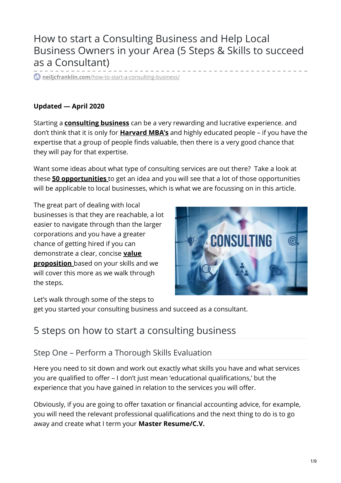# How to start a Consulting Business and Help Local Business Owners in your Area (5 Steps & Skills to succeed as a Consultant)

**neiljcfranklin.com**[/how-to-start-a-consulting-business/](https://www.neiljcfranklin.com/how-to-start-a-consulting-business/)

#### **Updated — April 2020**

Starting a **[consulting](https://en.wikipedia.org/wiki/Consultant) business** can be a very rewarding and lucrative experience. and don't think that it is only for **[Harvard](https://www.hbs.edu/mba/Pages/default.aspx) MBA's** and highly educated people – if you have the expertise that a group of people finds valuable, then there is a very good chance that they will pay for that expertise.

Want some ideas about what type of consulting services are out there? Take a look at these **50 [opportunities](https://www.profitableventure.com/online-consulting-business-ideas/)** to get an idea and you will see that a lot of those opportunities will be applicable to local businesses, which is what we are focussing on in this article.

The great part of dealing with local businesses is that they are reachable, a lot easier to navigate through than the larger corporations and you have a greater chance of getting hired if you can [demonstrate](https://opterre.com/unique-value-proposition-consultants-coaches-freelancers/) a clear, concise **value proposition** based on your skills and we will cover this more as we walk through the steps.



Let's walk through some of the steps to

get you started your consulting business and succeed as a consultant.

# 5 steps on how to start a consulting business

## Step One – Perform a Thorough Skills Evaluation

Here you need to sit down and work out exactly what skills you have and what services you are qualified to offer – I don't just mean 'educational qualifications,' but the experience that you have gained in relation to the services you will offer.

Obviously, if you are going to offer taxation or financial accounting advice, for example, you will need the relevant professional qualifications and the next thing to do is to go away and create what I term your **Master Resume/C.V.**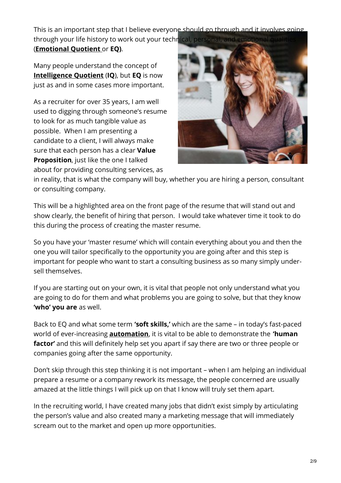This is an important step that I believe everyone should go through and it involves going through your life history to work out your technical, personal, and emotion

(**[Emotional](https://psychcentral.com/lib/what-is-emotional-intelligence-eq/) Quotient** or **EQ)**.

Many people understand the concept of **[Intelligence](https://www.sciencedaily.com/terms/intelligence_quotient.htm) Quotient** (**IQ**), but **EQ** is now just as and in some cases more important.

As a recruiter for over 35 years, I am well used to digging through someone's resume to look for as much tangible value as possible. When I am presenting a candidate to a client, I will always make sure that each person has a clear **Value Proposition**, just like the one I talked about for providing consulting services, as



in reality, that is what the company will buy, whether you are hiring a person, consultant or consulting company.

This will be a highlighted area on the front page of the resume that will stand out and show clearly, the benefit of hiring that person. I would take whatever time it took to do this during the process of creating the master resume.

So you have your 'master resume' which will contain everything about you and then the one you will tailor specifically to the opportunity you are going after and this step is important for people who want to start a consulting business as so many simply undersell themselves.

If you are starting out on your own, it is vital that people not only understand what you are going to do for them and what problems you are going to solve, but that they know **'who' you are** as well.

Back to EQ and what some term **'soft skills,'** which are the same – in today's fast-paced world of ever-increasing **[automation](https://www.techopedia.com/definition/32099/automation)**, it is vital to be able to demonstrate the **'human factor'** and this will definitely help set you apart if say there are two or three people or companies going after the same opportunity.

Don't skip through this step thinking it is not important – when I am helping an individual prepare a resume or a company rework its message, the people concerned are usually amazed at the little things I will pick up on that I know will truly set them apart.

In the recruiting world, I have created many jobs that didn't exist simply by articulating the person's value and also created many a marketing message that will immediately scream out to the market and open up more opportunities.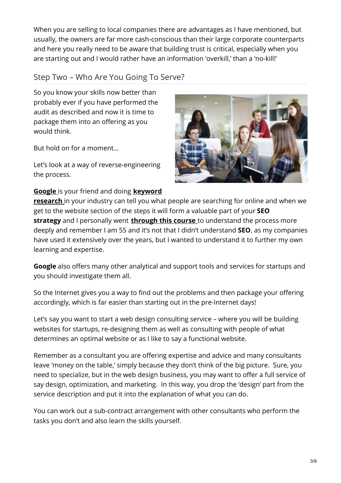When you are selling to local companies there are advantages as I have mentioned, but usually, the owners are far more cash-conscious than their large corporate counterparts and here you really need to be aware that building trust is critical, especially when you are starting out and I would rather have an information 'overkill,' than a 'no-kill!'

## Step Two – Who Are You Going To Serve?

So you know your skills now better than probably ever if you have performed the audit as described and now it is time to package them into an offering as you would think.

But hold on for a moment…

Let's look at a way of reverse-engineering the process.

#### **[Google](https://www.google.com/)** is your friend and doing **[keyword](https://www.marketingterms.com/dictionary/keyword_research/)**

**research** in your industry can tell you what people are searching for online and when we get to the website section of the steps it will form a valuable part of your **SEO strategy** and I personally went **[through](https://www.clickdo.co.uk/seo-training-course/) this course** to understand the process more deeply and remember I am 55 and it's not that I didn't understand **SEO**, as my companies have used it extensively over the years, but I wanted to understand it to further my own learning and expertise.

**Google** also offers many other analytical and support tools and services for startups and you should investigate them all.

So the Internet gives you a way to find out the problems and then package your offering accordingly, which is far easier than starting out in the pre-Internet days!

Let's say you want to start a web design consulting service – where you will be building websites for startups, re-designing them as well as consulting with people of what determines an optimal website or as I like to say a functional website.

Remember as a consultant you are offering expertise and advice and many consultants leave 'money on the table,' simply because they don't think of the big picture. Sure, you need to specialize, but in the web design business, you may want to offer a full service of say design, optimization, and marketing. In this way, you drop the 'design' part from the service description and put it into the explanation of what you can do.

You can work out a sub-contract arrangement with other consultants who perform the tasks you don't and also learn the skills yourself.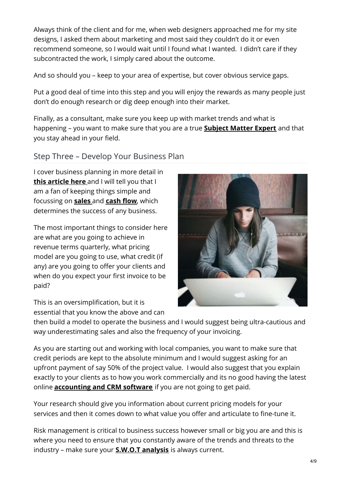Always think of the client and for me, when web designers approached me for my site designs, I asked them about marketing and most said they couldn't do it or even recommend someone, so I would wait until I found what I wanted. I didn't care if they subcontracted the work, I simply cared about the outcome.

And so should you – keep to your area of expertise, but cover obvious service gaps.

Put a good deal of time into this step and you will enjoy the rewards as many people just don't do enough research or dig deep enough into their market.

Finally, as a consultant, make sure you keep up with market trends and what is happening – you want to make sure that you are a true **[Subject](https://www.thebalancecareers.com/subject-matter-expert-2275099) Matter Expert** and that you stay ahead in your field.

## Step Three – Develop Your Business Plan

I cover business planning in more detail in **this [article](https://www.neiljcfranklin.com/how-to-start-a-business/) here** and I will tell you that I am a fan of keeping things simple and focussing on **[sales](http://www.businessdictionary.com/definition/sales.html)** and **[cash](http://www.businessdictionary.com/definition/cash-flow.html) flow**, which determines the success of any business.

The most important things to consider here are what are you going to achieve in revenue terms quarterly, what pricing model are you going to use, what credit (if any) are you going to offer your clients and when do you expect your first invoice to be paid?

This is an oversimplification, but it is essential that you know the above and can



then build a model to operate the business and I would suggest being ultra-cautious and way underestimating sales and also the frequency of your invoicing.

As you are starting out and working with local companies, you want to make sure that credit periods are kept to the absolute minimum and I would suggest asking for an upfront payment of say 50% of the project value. I would also suggest that you explain exactly to your clients as to how you work commercially and its no good having the latest online **[accounting](https://www.oneup.com/) and CRM software** if you are not going to get paid.

Your research should give you information about current pricing models for your services and then it comes down to what value you offer and articulate to fine-tune it.

Risk management is critical to business success however small or big you are and this is where you need to ensure that you constantly aware of the trends and threats to the industry – make sure your **S.W.O.T [analysis](https://www.investopedia.com/terms/s/swot.asp)** is always current.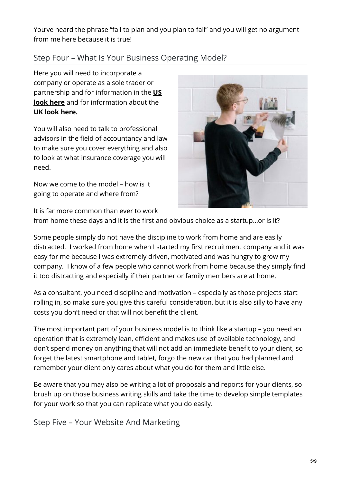You've heard the phrase "fail to plan and you plan to fail" and you will get no argument from me here because it is true!

## Step Four – What Is Your Business Operating Model?

Here you will need to incorporate a company or operate as a sole trader or partnership and for information in the **US look here** and for [information](https://www.usa.gov/start-business) about the **UK look [here.](https://www.gov.uk/set-up-business)**

You will also need to talk to professional advisors in the field of accountancy and law to make sure you cover everything and also to look at what insurance coverage you will need.

Now we come to the model – how is it going to operate and where from?



It is far more common than ever to work

from home these days and it is the first and obvious choice as a startup…or is it?

Some people simply do not have the discipline to work from home and are easily distracted. I worked from home when I started my first recruitment company and it was easy for me because I was extremely driven, motivated and was hungry to grow my company. I know of a few people who cannot work from home because they simply find it too distracting and especially if their partner or family members are at home.

As a consultant, you need discipline and motivation – especially as those projects start rolling in, so make sure you give this careful consideration, but it is also silly to have any costs you don't need or that will not benefit the client.

The most important part of your business model is to think like a startup – you need an operation that is extremely lean, efficient and makes use of available technology, and don't spend money on anything that will not add an immediate benefit to your client, so forget the latest smartphone and tablet, forgo the new car that you had planned and remember your client only cares about what you do for them and little else.

Be aware that you may also be writing a lot of proposals and reports for your clients, so brush up on those business writing skills and take the time to develop simple templates for your work so that you can replicate what you do easily.

Step Five – Your Website And Marketing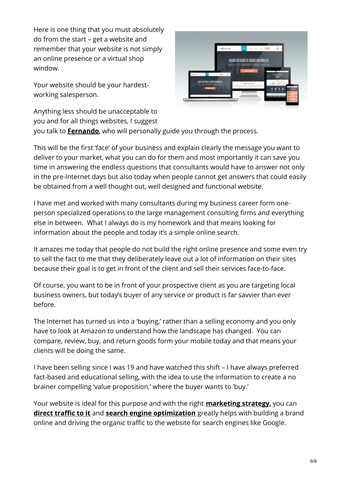Here is one thing that you must absolutely do from the start – get a website and remember that your website is not simply an online presence or a virtual shop window.

Your website should be your hardestworking salesperson.



Anything less should be unacceptable to you and for all things websites, I suggest

you talk to **[Fernando](https://www.clickdo.co.uk/fernando/)**, who will personally guide you through the process.

This will be the first 'face' of your business and explain clearly the message you want to deliver to your market, what you can do for them and most importantly it can save you time in answering the endless questions that consultants would have to answer not only in the pre-Internet days but also today when people cannot get answers that could easily be obtained from a well thought out, well designed and functional website.

I have met and worked with many consultants during my business career form oneperson specialized operations to the large management consulting firms and everything else in between. What I always do is my homework and that means looking for information about the people and today it's a simple online search.

It amazes me today that people do not build the right online presence and some even try to sell the fact to me that they deliberately leave out a lot of information on their sites because their goal is to get in front of the client and sell their services face-to-face.

Of course, you want to be in front of your prospective client as you are targeting local business owners, but today's buyer of any service or product is far savvier than ever before.

The Internet has turned us into a 'buying,' rather than a selling economy and you only have to look at Amazon to understand how the landscape has changed. You can compare, review, buy, and return goods form your mobile today and that means your clients will be doing the same.

I have been selling since I was 19 and have watched this shift – I have always preferred fact-based and educational selling, with the idea to use the information to create a no brainer compelling 'value proposition,' where the buyer wants to 'buy.'

Your website is ideal for this purpose and with the right **[marketing](https://business.clickdo.co.uk/top-21-business-strategies-to-grow-business-profitable/) strategy,** you can **direct [traffic](https://www.clickdo.co.uk/seo-outsourcing/) to it** and **search engine [optimization](https://www.searchenginefarm.com/)** greatly helps with building a brand online and driving the organic traffic to the website for search engines like Google.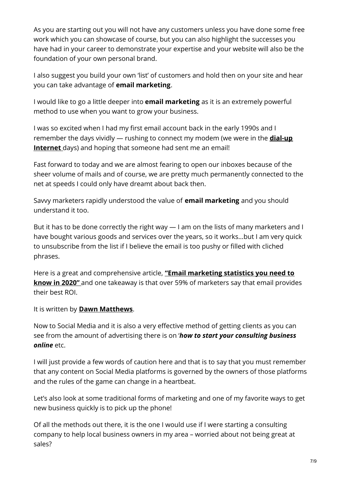As you are starting out you will not have any customers unless you have done some free work which you can showcase of course, but you can also highlight the successes you have had in your career to demonstrate your expertise and your website will also be the foundation of your own personal brand.

I also suggest you build your own 'list' of customers and hold then on your site and hear you can take advantage of **email marketing**.

I would like to go a little deeper into **email marketing** as it is an extremely powerful method to use when you want to grow your business.

I was so excited when I had my first email account back in the early 1990s and I [remember](https://techterms.com/definition/dialup) the days vividly — rushing to connect my modem (we were in the **dial-up Internet** days) and hoping that someone had sent me an email!

Fast forward to today and we are almost fearing to open our inboxes because of the sheer volume of mails and of course, we are pretty much permanently connected to the net at speeds I could only have dreamt about back then.

Savvy marketers rapidly understood the value of **email marketing** and you should understand it too.

But it has to be done correctly the right way — I am on the lists of many marketers and I have bought various goods and services over the years, so it works…but I am very quick to unsubscribe from the list if I believe the email is too pushy or filled with cliched phrases.

Here is a great and [comprehensive](https://www.avasam.com/email-marketing-statistics-you-need-to-know/) article, **"Email marketing statistics you need to know in 2020"** and one takeaway is that over 59% of marketers say that email provides their best ROI.

It is written by **Dawn [Matthews](https://www.linkedin.com/in/dawn-matthews/)**.

Now to Social Media and it is also a very effective method of getting clients as you can see from the amount of advertising there is on '*how to start your consulting business online* etc.

I will just provide a few words of caution here and that is to say that you must remember that any content on Social Media platforms is governed by the owners of those platforms and the rules of the game can change in a heartbeat.

Let's also look at some traditional forms of marketing and one of my favorite ways to get new business quickly is to pick up the phone!

Of all the methods out there, it is the one I would use if I were starting a consulting company to help local business owners in my area – worried about not being great at sales?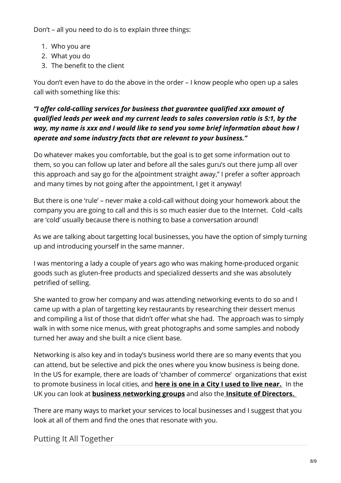Don't – all you need to do is to explain three things:

- 1. Who you are
- 2. What you do
- 3. The benefit to the client

You don't even have to do the above in the order – I know people who open up a sales call with something like this:

### *"I offer cold-calling services for business that guarantee qualified xxx amount of qualified leads per week and my current leads to sales conversion ratio is 5:1, by the way, my name is xxx and I would like to send you some brief information about how I operate and some industry facts that are relevant to your business."*

Do whatever makes you comfortable, but the goal is to get some information out to them, so you can follow up later and before all the sales guru's out there jump all over this approach and say go for the a[pointment straight away," I prefer a softer approach and many times by not going after the appointment, I get it anyway!

But there is one 'rule' – never make a cold-call without doing your homework about the company you are going to call and this is so much easier due to the Internet. Cold -calls are 'cold' usually because there is nothing to base a conversation around!

As we are talking about targetting local businesses, you have the option of simply turning up and introducing yourself in the same manner.

I was mentoring a lady a couple of years ago who was making home-produced organic goods such as gluten-free products and specialized desserts and she was absolutely petrified of selling.

She wanted to grow her company and was attending networking events to do so and I came up with a plan of targetting key restaurants by researching their dessert menus and compiling a list of those that didn't offer what she had. The approach was to simply walk in with some nice menus, with great photographs and some samples and nobody turned her away and she built a nice client base.

Networking is also key and in today's business world there are so many events that you can attend, but be selective and pick the ones where you know business is being done. In the US for example, there are loads of 'chamber of commerce' organizations that exist to promote business in local cities, and **here is one in a City I used to live [near.](http://www.friscochamber.com/)** In the UK you can look at **business [networking](https://www.business-network.co.uk/) groups** and also the **Insitute of [Directors.](https://www.iod.com/)**

There are many ways to market your services to local businesses and I suggest that you look at all of them and find the ones that resonate with you.

## Putting It All Together